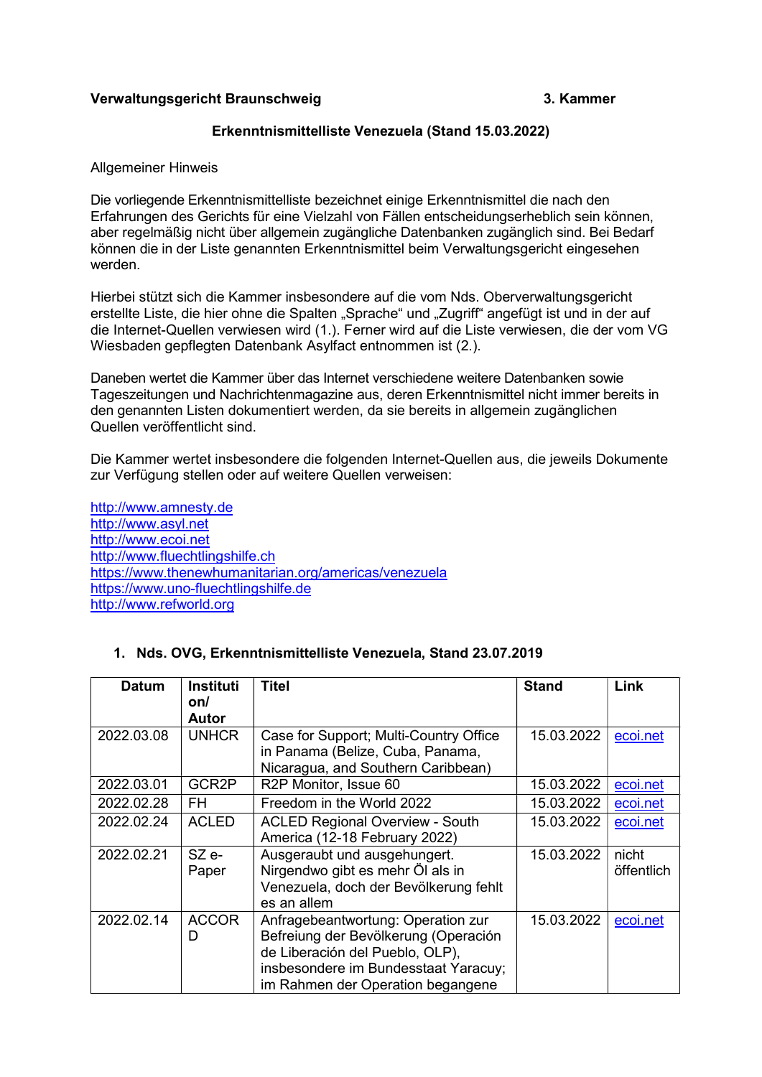# Verwaltungsgericht Braunschweig 3. Kammer

# Erkenntnismittelliste Venezuela (Stand 15.03.2022)

#### Allgemeiner Hinweis

Die vorliegende Erkenntnismittelliste bezeichnet einige Erkenntnismittel die nach den Erfahrungen des Gerichts für eine Vielzahl von Fällen entscheidungserheblich sein können, aber regelmäßig nicht über allgemein zugängliche Datenbanken zugänglich sind. Bei Bedarf können die in der Liste genannten Erkenntnismittel beim Verwaltungsgericht eingesehen werden.

Hierbei stützt sich die Kammer insbesondere auf die vom Nds. Oberverwaltungsgericht erstellte Liste, die hier ohne die Spalten "Sprache" und "Zugriff" angefügt ist und in der auf die Internet-Quellen verwiesen wird (1.). Ferner wird auf die Liste verwiesen, die der vom VG Wiesbaden gepflegten Datenbank Asylfact entnommen ist (2.).

Daneben wertet die Kammer über das Internet verschiedene weitere Datenbanken sowie Tageszeitungen und Nachrichtenmagazine aus, deren Erkenntnismittel nicht immer bereits in den genannten Listen dokumentiert werden, da sie bereits in allgemein zugänglichen Quellen veröffentlicht sind.

Die Kammer wertet insbesondere die folgenden Internet-Quellen aus, die jeweils Dokumente zur Verfügung stellen oder auf weitere Quellen verweisen:

http://www.amnesty.de http://www.asyl.net http://www.ecoi.net http://www.fluechtlingshilfe.ch https://www.thenewhumanitarian.org/americas/venezuela https://www.uno-fluechtlingshilfe.de http://www.refworld.org

### 1. Nds. OVG, Erkenntnismittelliste Venezuela, Stand 23.07.2019

| <b>Datum</b> | <b>Instituti</b><br>on/ | <b>Titel</b>                           | <b>Stand</b> | Link       |
|--------------|-------------------------|----------------------------------------|--------------|------------|
|              | Autor                   |                                        |              |            |
| 2022.03.08   | <b>UNHCR</b>            | Case for Support; Multi-Country Office | 15.03.2022   | ecoi.net   |
|              |                         | in Panama (Belize, Cuba, Panama,       |              |            |
|              |                         | Nicaragua, and Southern Caribbean)     |              |            |
| 2022.03.01   | GCR2P                   | R2P Monitor, Issue 60                  | 15.03.2022   | ecoi.net   |
| 2022.02.28   | FH                      | Freedom in the World 2022              | 15.03.2022   | ecoi.net   |
| 2022.02.24   | <b>ACLED</b>            | <b>ACLED Regional Overview - South</b> | 15.03.2022   | ecoi.net   |
|              |                         | America (12-18 February 2022)          |              |            |
| 2022.02.21   | SZ e-                   | Ausgeraubt und ausgehungert.           | 15.03.2022   | nicht      |
|              | Paper                   | Nirgendwo gibt es mehr Öl als in       |              | öffentlich |
|              |                         | Venezuela, doch der Bevölkerung fehlt  |              |            |
|              |                         | es an allem                            |              |            |
| 2022.02.14   | <b>ACCOR</b>            | Anfragebeantwortung: Operation zur     | 15.03.2022   | ecoi.net   |
|              | D                       | Befreiung der Bevölkerung (Operación   |              |            |
|              |                         | de Liberación del Pueblo, OLP),        |              |            |
|              |                         | insbesondere im Bundesstaat Yaracuy;   |              |            |
|              |                         | im Rahmen der Operation begangene      |              |            |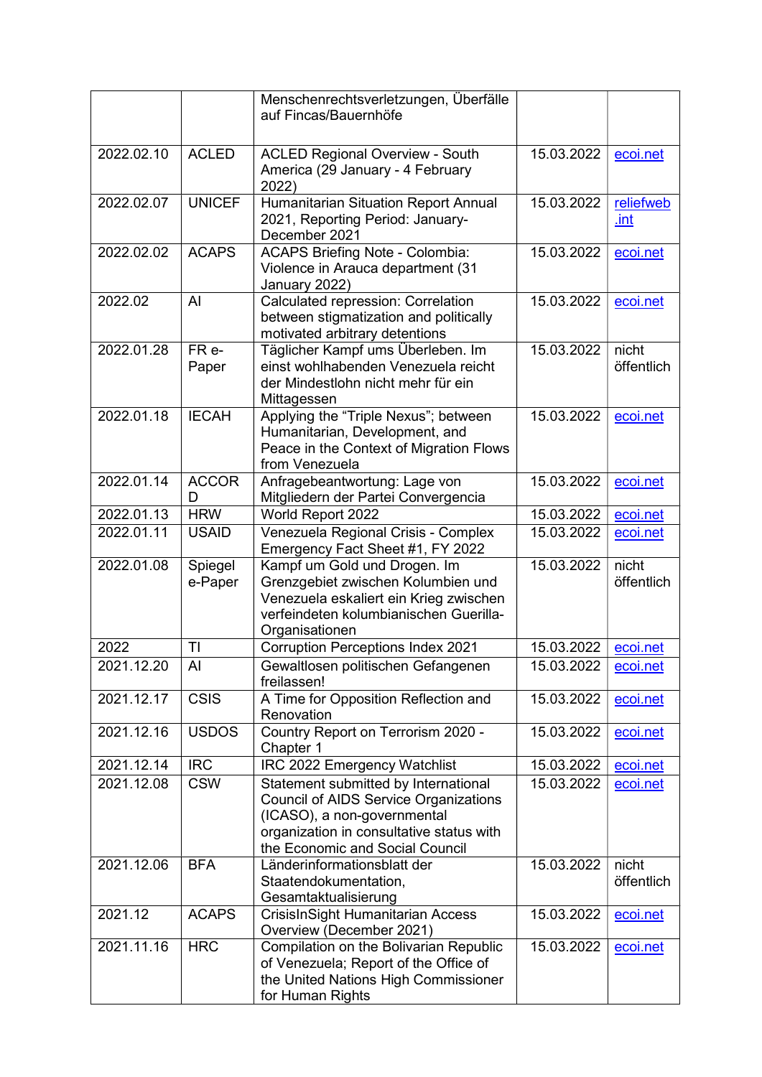|            |                    | Menschenrechtsverletzungen, Überfälle<br>auf Fincas/Bauernhöfe                                                                                                                                     |            |                     |
|------------|--------------------|----------------------------------------------------------------------------------------------------------------------------------------------------------------------------------------------------|------------|---------------------|
|            |                    |                                                                                                                                                                                                    |            |                     |
| 2022.02.10 | <b>ACLED</b>       | <b>ACLED Regional Overview - South</b><br>America (29 January - 4 February<br>2022)                                                                                                                | 15.03.2022 | ecoi.net            |
| 2022.02.07 | <b>UNICEF</b>      | <b>Humanitarian Situation Report Annual</b><br>2021, Reporting Period: January-<br>December 2021                                                                                                   | 15.03.2022 | reliefweb<br>.int   |
| 2022.02.02 | <b>ACAPS</b>       | <b>ACAPS Briefing Note - Colombia:</b><br>Violence in Arauca department (31<br>January 2022)                                                                                                       | 15.03.2022 | ecoi.net            |
| 2022.02    | AI                 | Calculated repression: Correlation<br>between stigmatization and politically<br>motivated arbitrary detentions                                                                                     | 15.03.2022 | ecoi.net            |
| 2022.01.28 | $FR -$<br>Paper    | Täglicher Kampf ums Überleben. Im<br>einst wohlhabenden Venezuela reicht<br>der Mindestlohn nicht mehr für ein<br>Mittagessen                                                                      | 15.03.2022 | nicht<br>öffentlich |
| 2022.01.18 | <b>IECAH</b>       | Applying the "Triple Nexus"; between<br>Humanitarian, Development, and<br>Peace in the Context of Migration Flows<br>from Venezuela                                                                | 15.03.2022 | ecoi.net            |
| 2022.01.14 | <b>ACCOR</b><br>D  | Anfragebeantwortung: Lage von<br>Mitgliedern der Partei Convergencia                                                                                                                               | 15.03.2022 | ecoi.net            |
| 2022.01.13 | <b>HRW</b>         | World Report 2022                                                                                                                                                                                  | 15.03.2022 | ecoi.net            |
| 2022.01.11 | <b>USAID</b>       | Venezuela Regional Crisis - Complex<br>Emergency Fact Sheet #1, FY 2022                                                                                                                            | 15.03.2022 | ecoi.net            |
| 2022.01.08 | Spiegel<br>e-Paper | Kampf um Gold und Drogen. Im<br>Grenzgebiet zwischen Kolumbien und<br>Venezuela eskaliert ein Krieg zwischen<br>verfeindeten kolumbianischen Guerilla-<br>Organisationen                           | 15.03.2022 | nicht<br>öffentlich |
| 2022       | TI                 | <b>Corruption Perceptions Index 2021</b>                                                                                                                                                           | 15.03.2022 | ecoi.net            |
| 2021.12.20 | AI                 | Gewaltlosen politischen Gefangenen<br>freilassen!                                                                                                                                                  | 15.03.2022 | ecol.net            |
| 2021.12.17 | <b>CSIS</b>        | A Time for Opposition Reflection and<br>Renovation                                                                                                                                                 | 15.03.2022 | ecoi.net            |
| 2021.12.16 | <b>USDOS</b>       | Country Report on Terrorism 2020 -<br>Chapter 1                                                                                                                                                    | 15.03.2022 | ecoi.net            |
| 2021.12.14 | $\overline{IRC}$   | IRC 2022 Emergency Watchlist                                                                                                                                                                       | 15.03.2022 | ecoi.net            |
| 2021.12.08 | <b>CSW</b>         | Statement submitted by International<br><b>Council of AIDS Service Organizations</b><br>(ICASO), a non-governmental<br>organization in consultative status with<br>the Economic and Social Council | 15.03.2022 | ecoi.net            |
| 2021.12.06 | <b>BFA</b>         | Länderinformationsblatt der<br>Staatendokumentation,<br>Gesamtaktualisierung                                                                                                                       | 15.03.2022 | nicht<br>öffentlich |
| 2021.12    | <b>ACAPS</b>       | <b>CrisisInSight Humanitarian Access</b><br>Overview (December 2021)                                                                                                                               | 15.03.2022 | ecoi.net            |
| 2021.11.16 | <b>HRC</b>         | Compilation on the Bolivarian Republic<br>of Venezuela; Report of the Office of<br>the United Nations High Commissioner<br>for Human Rights                                                        | 15.03.2022 | ecoi.net            |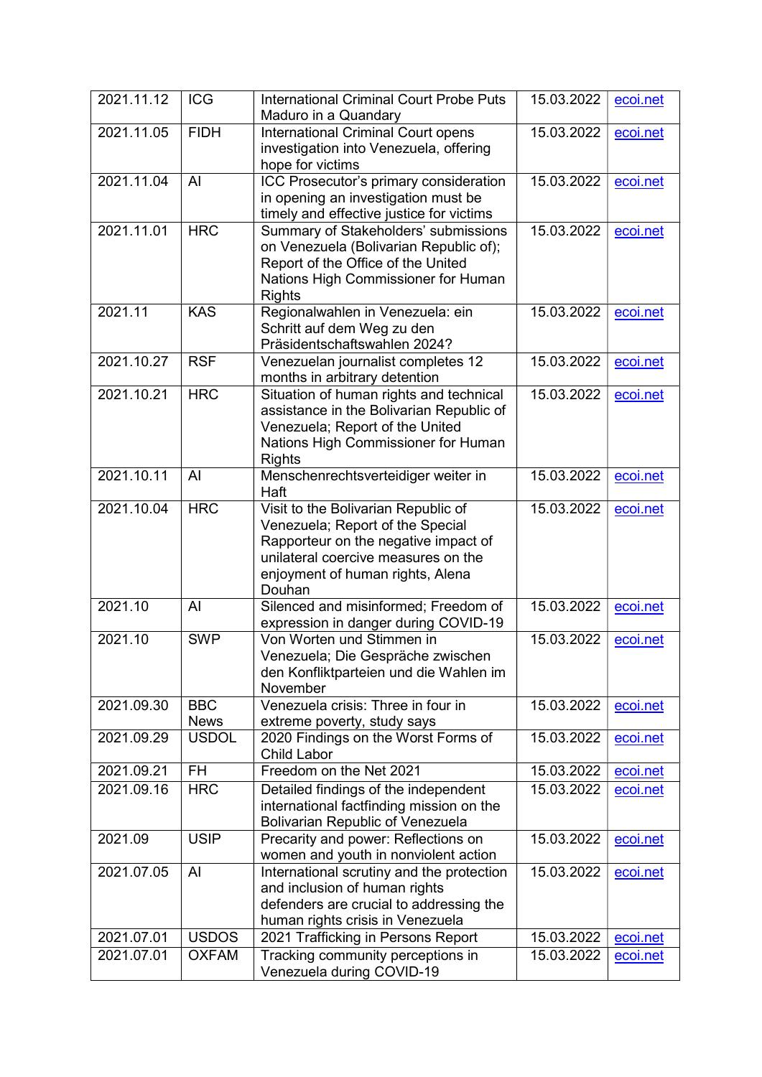| 2021.11.12 | <b>ICG</b>                | <b>International Criminal Court Probe Puts</b><br>Maduro in a Quandary                                                                                                                               | 15.03.2022 | ecoi.net |
|------------|---------------------------|------------------------------------------------------------------------------------------------------------------------------------------------------------------------------------------------------|------------|----------|
| 2021.11.05 | <b>FIDH</b>               | <b>International Criminal Court opens</b><br>investigation into Venezuela, offering<br>hope for victims                                                                                              | 15.03.2022 | ecoi.net |
| 2021.11.04 | AI                        | ICC Prosecutor's primary consideration<br>in opening an investigation must be<br>timely and effective justice for victims                                                                            | 15.03.2022 | ecoi.net |
| 2021.11.01 | <b>HRC</b>                | Summary of Stakeholders' submissions<br>on Venezuela (Bolivarian Republic of);<br>Report of the Office of the United<br>Nations High Commissioner for Human<br><b>Rights</b>                         | 15.03.2022 | ecoi.net |
| 2021.11    | <b>KAS</b>                | Regionalwahlen in Venezuela: ein<br>Schritt auf dem Weg zu den<br>Präsidentschaftswahlen 2024?                                                                                                       | 15.03.2022 | ecoi.net |
| 2021.10.27 | <b>RSF</b>                | Venezuelan journalist completes 12<br>months in arbitrary detention                                                                                                                                  | 15.03.2022 | ecoi.net |
| 2021.10.21 | <b>HRC</b>                | Situation of human rights and technical<br>assistance in the Bolivarian Republic of<br>Venezuela; Report of the United<br>Nations High Commissioner for Human<br><b>Rights</b>                       | 15.03.2022 | ecoi.net |
| 2021.10.11 | Al                        | Menschenrechtsverteidiger weiter in<br>Haft                                                                                                                                                          | 15.03.2022 | ecoi.net |
| 2021.10.04 | <b>HRC</b>                | Visit to the Bolivarian Republic of<br>Venezuela; Report of the Special<br>Rapporteur on the negative impact of<br>unilateral coercive measures on the<br>enjoyment of human rights, Alena<br>Douhan | 15.03.2022 | ecoi.net |
| 2021.10    | AI                        | Silenced and misinformed; Freedom of<br>expression in danger during COVID-19                                                                                                                         | 15.03.2022 | ecoi.net |
| 2021.10    | <b>SWP</b>                | Von Worten und Stimmen in<br>Venezuela; Die Gespräche zwischen<br>den Konfliktparteien und die Wahlen im<br>November                                                                                 | 15.03.2022 | ecoi.net |
| 2021.09.30 | <b>BBC</b><br><b>News</b> | Venezuela crisis: Three in four in<br>extreme poverty, study says                                                                                                                                    | 15.03.2022 | ecoi.net |
| 2021.09.29 | <b>USDOL</b>              | 2020 Findings on the Worst Forms of<br><b>Child Labor</b>                                                                                                                                            | 15.03.2022 | ecoi.net |
| 2021.09.21 | <b>FH</b>                 | Freedom on the Net 2021                                                                                                                                                                              | 15.03.2022 | ecoi.net |
| 2021.09.16 | <b>HRC</b>                | Detailed findings of the independent<br>international factfinding mission on the<br><b>Bolivarian Republic of Venezuela</b>                                                                          | 15.03.2022 | ecoi.net |
| 2021.09    | <b>USIP</b>               | Precarity and power: Reflections on<br>women and youth in nonviolent action                                                                                                                          | 15.03.2022 | ecoi.net |
| 2021.07.05 | Al                        | International scrutiny and the protection<br>and inclusion of human rights<br>defenders are crucial to addressing the<br>human rights crisis in Venezuela                                            | 15.03.2022 | ecoi.net |
| 2021.07.01 | <b>USDOS</b>              | 2021 Trafficking in Persons Report                                                                                                                                                                   | 15.03.2022 | ecoi.net |
| 2021.07.01 | <b>OXFAM</b>              | Tracking community perceptions in<br>Venezuela during COVID-19                                                                                                                                       | 15.03.2022 | ecoi.net |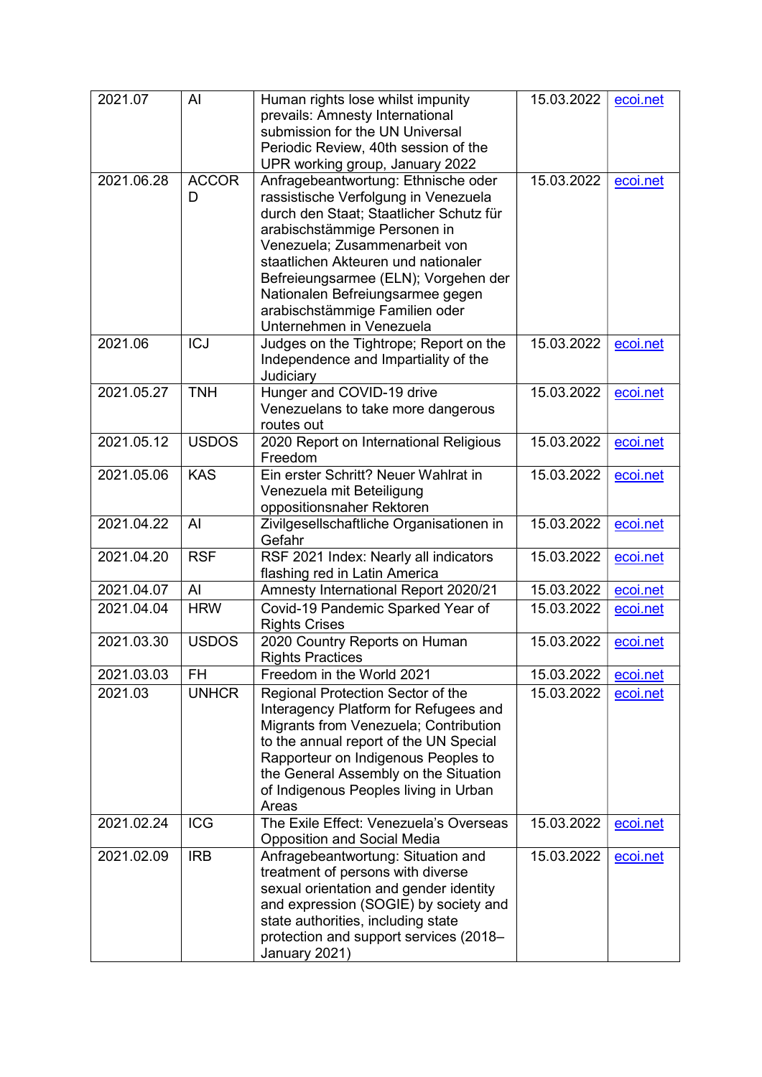| 2021.07    | Al           | Human rights lose whilst impunity        | 15.03.2022 | ecoi.net |
|------------|--------------|------------------------------------------|------------|----------|
|            |              | prevails: Amnesty International          |            |          |
|            |              | submission for the UN Universal          |            |          |
|            |              | Periodic Review, 40th session of the     |            |          |
|            |              | UPR working group, January 2022          |            |          |
| 2021.06.28 | <b>ACCOR</b> | Anfragebeantwortung: Ethnische oder      | 15.03.2022 | ecoi.net |
|            | D            | rassistische Verfolgung in Venezuela     |            |          |
|            |              | durch den Staat; Staatlicher Schutz für  |            |          |
|            |              |                                          |            |          |
|            |              | arabischstämmige Personen in             |            |          |
|            |              | Venezuela; Zusammenarbeit von            |            |          |
|            |              | staatlichen Akteuren und nationaler      |            |          |
|            |              | Befreieungsarmee (ELN); Vorgehen der     |            |          |
|            |              | Nationalen Befreiungsarmee gegen         |            |          |
|            |              | arabischstämmige Familien oder           |            |          |
|            |              | Unternehmen in Venezuela                 |            |          |
| 2021.06    | <b>ICJ</b>   | Judges on the Tightrope; Report on the   | 15.03.2022 | ecoi.net |
|            |              | Independence and Impartiality of the     |            |          |
|            |              |                                          |            |          |
|            |              | Judiciary                                |            |          |
| 2021.05.27 | <b>TNH</b>   | Hunger and COVID-19 drive                | 15.03.2022 | ecoi.net |
|            |              | Venezuelans to take more dangerous       |            |          |
|            |              | routes out                               |            |          |
| 2021.05.12 | <b>USDOS</b> | 2020 Report on International Religious   | 15.03.2022 | ecoi.net |
|            |              | Freedom                                  |            |          |
| 2021.05.06 | <b>KAS</b>   | Ein erster Schritt? Neuer Wahlrat in     | 15.03.2022 | ecoi.net |
|            |              | Venezuela mit Beteiligung                |            |          |
|            |              | oppositionsnaher Rektoren                |            |          |
| 2021.04.22 | Al           | Zivilgesellschaftliche Organisationen in | 15.03.2022 | ecoi.net |
|            |              | Gefahr                                   |            |          |
|            |              |                                          |            |          |
| 2021.04.20 | <b>RSF</b>   | RSF 2021 Index: Nearly all indicators    | 15.03.2022 | ecoi.net |
|            |              | flashing red in Latin America            |            |          |
| 2021.04.07 | AI           | Amnesty International Report 2020/21     | 15.03.2022 | ecoi.net |
| 2021.04.04 | <b>HRW</b>   | Covid-19 Pandemic Sparked Year of        | 15.03.2022 | ecoi.net |
|            |              | <b>Rights Crises</b>                     |            |          |
| 2021.03.30 | <b>USDOS</b> | 2020 Country Reports on Human            | 15.03.2022 | ecoi.net |
|            |              | <b>Rights Practices</b>                  |            |          |
| 2021.03.03 | FH           | Freedom in the World 2021                | 15.03.2022 | ecoi.net |
| 2021.03    | <b>UNHCR</b> | Regional Protection Sector of the        | 15.03.2022 | ecoi.net |
|            |              |                                          |            |          |
|            |              | Interagency Platform for Refugees and    |            |          |
|            |              | Migrants from Venezuela; Contribution    |            |          |
|            |              | to the annual report of the UN Special   |            |          |
|            |              | Rapporteur on Indigenous Peoples to      |            |          |
|            |              | the General Assembly on the Situation    |            |          |
|            |              | of Indigenous Peoples living in Urban    |            |          |
|            |              | Areas                                    |            |          |
| 2021.02.24 | <b>ICG</b>   | The Exile Effect: Venezuela's Overseas   | 15.03.2022 | ecoi.net |
|            |              | <b>Opposition and Social Media</b>       |            |          |
| 2021.02.09 | <b>IRB</b>   | Anfragebeantwortung: Situation and       | 15.03.2022 | ecoi.net |
|            |              | treatment of persons with diverse        |            |          |
|            |              |                                          |            |          |
|            |              | sexual orientation and gender identity   |            |          |
|            |              | and expression (SOGIE) by society and    |            |          |
|            |              | state authorities, including state       |            |          |
|            |              | protection and support services (2018-   |            |          |
|            |              | January 2021)                            |            |          |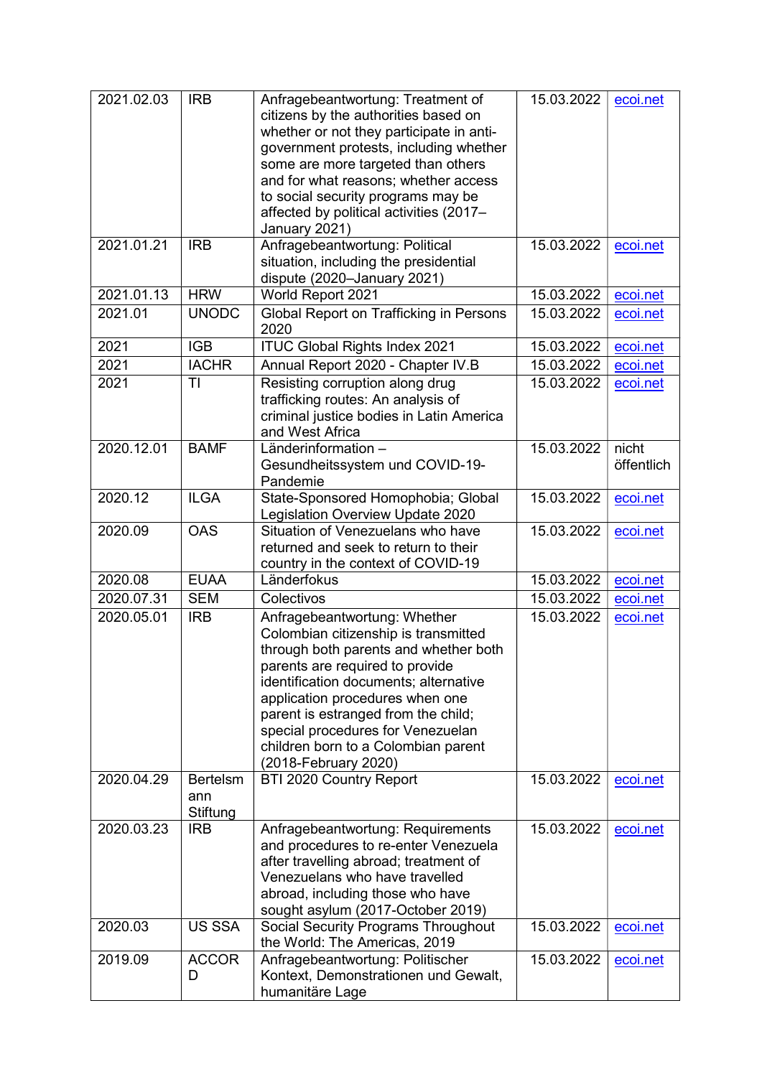| 2021.02.03 | <b>IRB</b>                         | Anfragebeantwortung: Treatment of<br>citizens by the authorities based on<br>whether or not they participate in anti-<br>government protests, including whether<br>some are more targeted than others<br>and for what reasons; whether access<br>to social security programs may be<br>affected by political activities (2017-<br>January 2021)                         | 15.03.2022 | ecoi.net            |
|------------|------------------------------------|-------------------------------------------------------------------------------------------------------------------------------------------------------------------------------------------------------------------------------------------------------------------------------------------------------------------------------------------------------------------------|------------|---------------------|
| 2021.01.21 | <b>IRB</b>                         | Anfragebeantwortung: Political<br>situation, including the presidential<br>dispute (2020-January 2021)                                                                                                                                                                                                                                                                  | 15.03.2022 | ecoi.net            |
| 2021.01.13 | <b>HRW</b>                         | World Report 2021                                                                                                                                                                                                                                                                                                                                                       | 15.03.2022 | ecoi.net            |
| 2021.01    | <b>UNODC</b>                       | <b>Global Report on Trafficking in Persons</b><br>2020                                                                                                                                                                                                                                                                                                                  | 15.03.2022 | ecoi.net            |
| 2021       | <b>IGB</b>                         | <b>ITUC Global Rights Index 2021</b>                                                                                                                                                                                                                                                                                                                                    | 15.03.2022 | ecoi.net            |
| 2021       | <b>IACHR</b>                       | Annual Report 2020 - Chapter IV.B                                                                                                                                                                                                                                                                                                                                       | 15.03.2022 | ecoi.net            |
| 2021       | TI                                 | Resisting corruption along drug<br>trafficking routes: An analysis of<br>criminal justice bodies in Latin America<br>and West Africa                                                                                                                                                                                                                                    | 15.03.2022 | ecoi.net            |
| 2020.12.01 | <b>BAMF</b>                        | Länderinformation -<br>Gesundheitssystem und COVID-19-<br>Pandemie                                                                                                                                                                                                                                                                                                      | 15.03.2022 | nicht<br>öffentlich |
| 2020.12    | <b>ILGA</b>                        | State-Sponsored Homophobia; Global<br>Legislation Overview Update 2020                                                                                                                                                                                                                                                                                                  | 15.03.2022 | ecoi.net            |
| 2020.09    | <b>OAS</b>                         | Situation of Venezuelans who have<br>returned and seek to return to their<br>country in the context of COVID-19                                                                                                                                                                                                                                                         | 15.03.2022 | ecoi.net            |
| 2020.08    | <b>EUAA</b>                        | Länderfokus                                                                                                                                                                                                                                                                                                                                                             | 15.03.2022 | ecoi.net            |
| 2020.07.31 | <b>SEM</b>                         | Colectivos                                                                                                                                                                                                                                                                                                                                                              | 15.03.2022 | ecoi.net            |
| 2020.05.01 | <b>IRB</b>                         | Anfragebeantwortung: Whether<br>Colombian citizenship is transmitted<br>through both parents and whether both<br>parents are required to provide<br>identification documents; alternative<br>application procedures when one<br>parent is estranged from the child;<br>special procedures for Venezuelan<br>children born to a Colombian parent<br>(2018-February 2020) | 15.03.2022 | ecoi.net            |
| 2020.04.29 | <b>Bertelsm</b><br>ann<br>Stiftung | BTI 2020 Country Report                                                                                                                                                                                                                                                                                                                                                 | 15.03.2022 | ecoi.net            |
| 2020.03.23 | <b>IRB</b>                         | Anfragebeantwortung: Requirements<br>and procedures to re-enter Venezuela<br>after travelling abroad; treatment of<br>Venezuelans who have travelled<br>abroad, including those who have<br>sought asylum (2017-October 2019)                                                                                                                                           | 15.03.2022 | ecoi.net            |
| 2020.03    | <b>US SSA</b>                      | Social Security Programs Throughout<br>the World: The Americas, 2019                                                                                                                                                                                                                                                                                                    | 15.03.2022 | ecoi.net            |
| 2019.09    | <b>ACCOR</b><br>D                  | Anfragebeantwortung: Politischer<br>Kontext, Demonstrationen und Gewalt,<br>humanitäre Lage                                                                                                                                                                                                                                                                             | 15.03.2022 | ecoi.net            |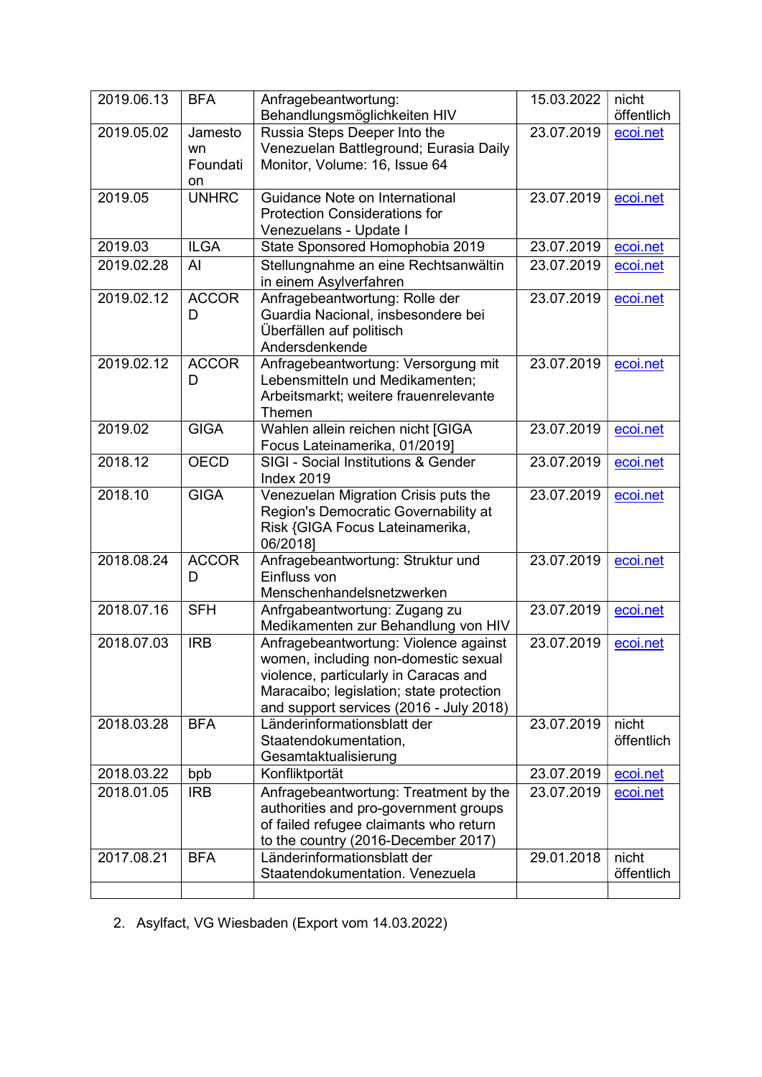| 2019.06.13 | <b>BFA</b>                      | Anfragebeantwortung:<br>Behandlungsmöglichkeiten HIV                                                                                                                                                          | 15.03.2022 | nicht<br>öffentlich |
|------------|---------------------------------|---------------------------------------------------------------------------------------------------------------------------------------------------------------------------------------------------------------|------------|---------------------|
| 2019.05.02 | Jamesto<br>wn<br>Foundati<br>on | Russia Steps Deeper Into the<br>Venezuelan Battleground; Eurasia Daily<br>Monitor, Volume: 16, Issue 64                                                                                                       | 23.07.2019 | ecoi.net            |
| 2019.05    | <b>UNHRC</b>                    | Guidance Note on International<br><b>Protection Considerations for</b><br>Venezuelans - Update I                                                                                                              | 23.07.2019 | ecoi.net            |
| 2019.03    | <b>ILGA</b>                     | State Sponsored Homophobia 2019                                                                                                                                                                               | 23.07.2019 | ecoi.net            |
| 2019.02.28 | AI                              | Stellungnahme an eine Rechtsanwältin<br>in einem Asylverfahren                                                                                                                                                | 23.07.2019 | ecoi.net            |
| 2019.02.12 | <b>ACCOR</b><br>D               | Anfragebeantwortung: Rolle der<br>Guardia Nacional, insbesondere bei<br>Überfällen auf politisch<br>Andersdenkende                                                                                            | 23.07.2019 | ecoi.net            |
| 2019.02.12 | <b>ACCOR</b><br>D               | Anfragebeantwortung: Versorgung mit<br>Lebensmitteln und Medikamenten;<br>Arbeitsmarkt; weitere frauenrelevante<br>Themen                                                                                     | 23.07.2019 | ecoi.net            |
| 2019.02    | <b>GIGA</b>                     | Wahlen allein reichen nicht [GIGA<br>Focus Lateinamerika, 01/2019]                                                                                                                                            | 23.07.2019 | ecoi.net            |
| 2018.12    | <b>OECD</b>                     | <b>SIGI - Social Institutions &amp; Gender</b><br>Index 2019                                                                                                                                                  | 23.07.2019 | ecoi.net            |
| 2018.10    | <b>GIGA</b>                     | Venezuelan Migration Crisis puts the<br>Region's Democratic Governability at<br>Risk {GIGA Focus Lateinamerika,<br>06/2018]                                                                                   | 23.07.2019 | ecoi.net            |
| 2018.08.24 | <b>ACCOR</b><br>D               | Anfragebeantwortung: Struktur und<br>Einfluss von<br>Menschenhandelsnetzwerken                                                                                                                                | 23.07.2019 | ecoi.net            |
| 2018.07.16 | <b>SFH</b>                      | Anfrgabeantwortung: Zugang zu<br>Medikamenten zur Behandlung von HIV                                                                                                                                          | 23.07.2019 | ecoi.net            |
| 2018.07.03 | <b>IRB</b>                      | Anfragebeantwortung: Violence against<br>women, including non-domestic sexual<br>violence, particularly in Caracas and<br>Maracaibo; legislation; state protection<br>and support services (2016 - July 2018) | 23.07.2019 | ecoi.net            |
| 2018.03.28 | <b>BFA</b>                      | Länderinformationsblatt der<br>Staatendokumentation,<br>Gesamtaktualisierung                                                                                                                                  | 23.07.2019 | nicht<br>öffentlich |
| 2018.03.22 | bpb                             | Konfliktportät                                                                                                                                                                                                | 23.07.2019 | ecoi.net            |
| 2018.01.05 | <b>IRB</b>                      | Anfragebeantwortung: Treatment by the<br>authorities and pro-government groups<br>of failed refugee claimants who return<br>to the country (2016-December 2017)                                               | 23.07.2019 | ecoi.net            |
| 2017.08.21 | <b>BFA</b>                      | Länderinformationsblatt der<br>Staatendokumentation. Venezuela                                                                                                                                                | 29.01.2018 | nicht<br>öffentlich |
|            |                                 |                                                                                                                                                                                                               |            |                     |

2. Asylfact, VG Wiesbaden (Export vom 14.03.2022)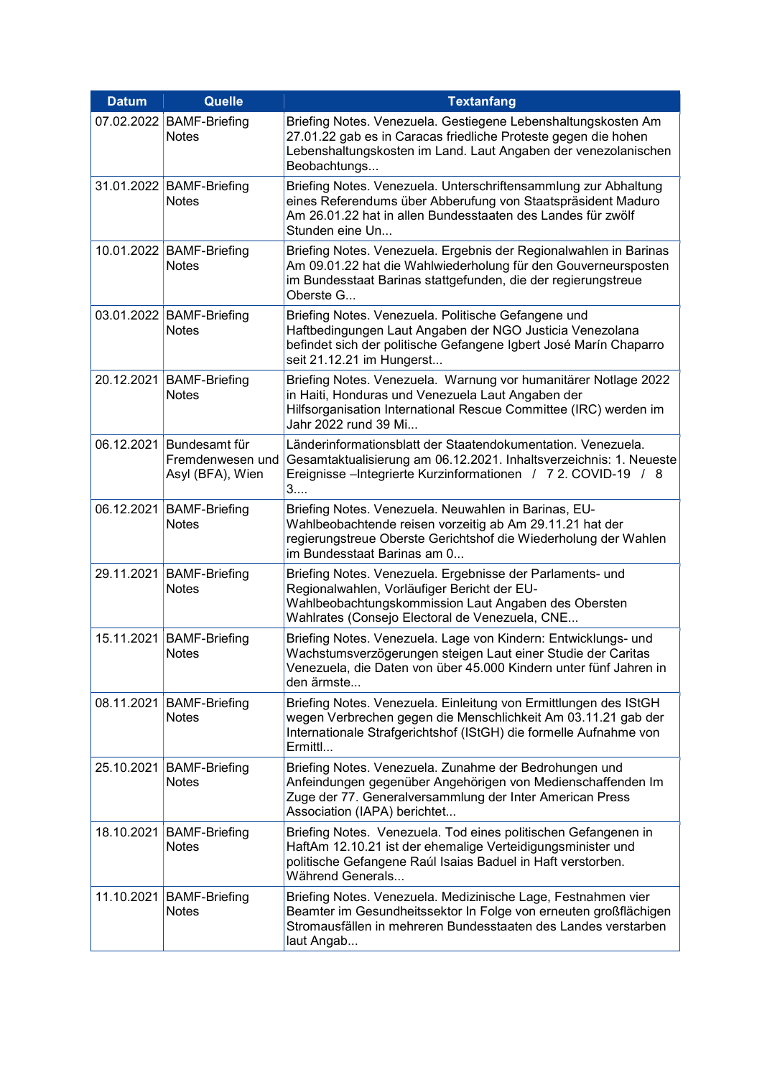| <b>Datum</b> | Quelle                                                | <b>Textanfang</b>                                                                                                                                                                                                  |
|--------------|-------------------------------------------------------|--------------------------------------------------------------------------------------------------------------------------------------------------------------------------------------------------------------------|
| 07.02.2022   | <b>BAMF-Briefing</b><br><b>Notes</b>                  | Briefing Notes. Venezuela. Gestiegene Lebenshaltungskosten Am<br>27.01.22 gab es in Caracas friedliche Proteste gegen die hohen<br>Lebenshaltungskosten im Land. Laut Angaben der venezolanischen<br>Beobachtungs  |
|              | 31.01.2022 BAMF-Briefing<br><b>Notes</b>              | Briefing Notes. Venezuela. Unterschriftensammlung zur Abhaltung<br>eines Referendums über Abberufung von Staatspräsident Maduro<br>Am 26.01.22 hat in allen Bundesstaaten des Landes für zwölf<br>Stunden eine Un  |
|              | 10.01.2022 BAMF-Briefing<br><b>Notes</b>              | Briefing Notes. Venezuela. Ergebnis der Regionalwahlen in Barinas<br>Am 09.01.22 hat die Wahlwiederholung für den Gouverneursposten<br>im Bundesstaat Barinas stattgefunden, die der regierungstreue<br>Oberste G  |
|              | 03.01.2022 BAMF-Briefing<br><b>Notes</b>              | Briefing Notes. Venezuela. Politische Gefangene und<br>Haftbedingungen Laut Angaben der NGO Justicia Venezolana<br>befindet sich der politische Gefangene Igbert José Marín Chaparro<br>seit 21.12.21 im Hungerst  |
|              | 20.12.2021 BAMF-Briefing<br><b>Notes</b>              | Briefing Notes. Venezuela. Warnung vor humanitärer Notlage 2022<br>in Haiti, Honduras und Venezuela Laut Angaben der<br>Hilfsorganisation International Rescue Committee (IRC) werden im<br>Jahr 2022 rund 39 Mi   |
| 06.12.2021   | Bundesamt für<br>Fremdenwesen und<br>Asyl (BFA), Wien | Länderinformationsblatt der Staatendokumentation. Venezuela.<br>Gesamtaktualisierung am 06.12.2021. Inhaltsverzeichnis: 1. Neueste<br>Ereignisse –Integrierte Kurzinformationen / 7 2. COVID-19 / 8<br>3           |
|              | 06.12.2021   BAMF-Briefing<br><b>Notes</b>            | Briefing Notes. Venezuela. Neuwahlen in Barinas, EU-<br>Wahlbeobachtende reisen vorzeitig ab Am 29.11.21 hat der<br>regierungstreue Oberste Gerichtshof die Wiederholung der Wahlen<br>im Bundesstaat Barinas am 0 |
| 29.11.2021   | <b>BAMF-Briefing</b><br><b>Notes</b>                  | Briefing Notes. Venezuela. Ergebnisse der Parlaments- und<br>Regionalwahlen, Vorläufiger Bericht der EU-<br>Wahlbeobachtungskommission Laut Angaben des Obersten<br>Wahlrates (Consejo Electoral de Venezuela, CNE |
|              | 15.11.2021 BAMF-Briefing<br><b>Notes</b>              | Briefing Notes. Venezuela. Lage von Kindern: Entwicklungs- und<br>Wachstumsverzögerungen steigen Laut einer Studie der Caritas<br>Venezuela, die Daten von über 45.000 Kindern unter fünf Jahren in<br>den ärmste  |
|              | 08.11.2021   BAMF-Briefing<br><b>Notes</b>            | Briefing Notes. Venezuela. Einleitung von Ermittlungen des IStGH<br>wegen Verbrechen gegen die Menschlichkeit Am 03.11.21 gab der<br>Internationale Strafgerichtshof (IStGH) die formelle Aufnahme von<br>Ermittl  |
| 25.10.2021   | <b>BAMF-Briefing</b><br><b>Notes</b>                  | Briefing Notes. Venezuela. Zunahme der Bedrohungen und<br>Anfeindungen gegenüber Angehörigen von Medienschaffenden Im<br>Zuge der 77. Generalversammlung der Inter American Press<br>Association (IAPA) berichtet  |
|              | 18.10.2021 BAMF-Briefing<br><b>Notes</b>              | Briefing Notes. Venezuela. Tod eines politischen Gefangenen in<br>HaftAm 12.10.21 ist der ehemalige Verteidigungsminister und<br>politische Gefangene Raúl Isaias Baduel in Haft verstorben.<br>Während Generals   |
|              | 11.10.2021   BAMF-Briefing<br><b>Notes</b>            | Briefing Notes. Venezuela. Medizinische Lage, Festnahmen vier<br>Beamter im Gesundheitssektor In Folge von erneuten großflächigen<br>Stromausfällen in mehreren Bundesstaaten des Landes verstarben<br>laut Angab  |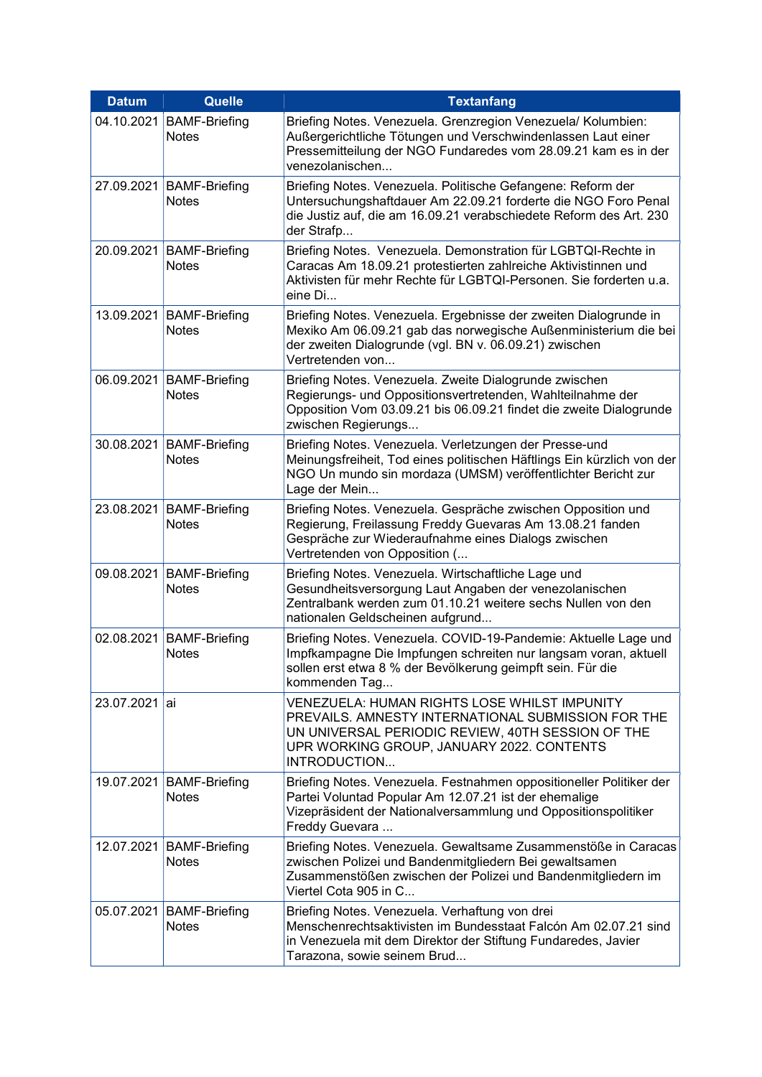| <b>Datum</b>  | Quelle                                     | <b>Textanfang</b>                                                                                                                                                                                                           |
|---------------|--------------------------------------------|-----------------------------------------------------------------------------------------------------------------------------------------------------------------------------------------------------------------------------|
| 04.10.2021    | <b>BAMF-Briefing</b><br><b>Notes</b>       | Briefing Notes. Venezuela. Grenzregion Venezuela/ Kolumbien:<br>Außergerichtliche Tötungen und Verschwindenlassen Laut einer<br>Pressemitteilung der NGO Fundaredes vom 28.09.21 kam es in der<br>venezolanischen           |
|               | 27.09.2021   BAMF-Briefing<br><b>Notes</b> | Briefing Notes. Venezuela. Politische Gefangene: Reform der<br>Untersuchungshaftdauer Am 22.09.21 forderte die NGO Foro Penal<br>die Justiz auf, die am 16.09.21 verabschiedete Reform des Art. 230<br>der Strafp           |
|               | 20.09.2021   BAMF-Briefing<br><b>Notes</b> | Briefing Notes. Venezuela. Demonstration für LGBTQI-Rechte in<br>Caracas Am 18.09.21 protestierten zahlreiche Aktivistinnen und<br>Aktivisten für mehr Rechte für LGBTQI-Personen. Sie forderten u.a.<br>eine Di            |
|               | 13.09.2021   BAMF-Briefing<br><b>Notes</b> | Briefing Notes. Venezuela. Ergebnisse der zweiten Dialogrunde in<br>Mexiko Am 06.09.21 gab das norwegische Außenministerium die bei<br>der zweiten Dialogrunde (vgl. BN v. 06.09.21) zwischen<br>Vertretenden von           |
|               | 06.09.2021   BAMF-Briefing<br><b>Notes</b> | Briefing Notes. Venezuela. Zweite Dialogrunde zwischen<br>Regierungs- und Oppositionsvertretenden, Wahlteilnahme der<br>Opposition Vom 03.09.21 bis 06.09.21 findet die zweite Dialogrunde<br>zwischen Regierungs           |
|               | 30.08.2021   BAMF-Briefing<br><b>Notes</b> | Briefing Notes. Venezuela. Verletzungen der Presse-und<br>Meinungsfreiheit, Tod eines politischen Häftlings Ein kürzlich von der<br>NGO Un mundo sin mordaza (UMSM) veröffentlichter Bericht zur<br>Lage der Mein           |
|               | 23.08.2021   BAMF-Briefing<br><b>Notes</b> | Briefing Notes. Venezuela. Gespräche zwischen Opposition und<br>Regierung, Freilassung Freddy Guevaras Am 13.08.21 fanden<br>Gespräche zur Wiederaufnahme eines Dialogs zwischen<br>Vertretenden von Opposition (           |
|               | 09.08.2021   BAMF-Briefing<br><b>Notes</b> | Briefing Notes. Venezuela. Wirtschaftliche Lage und<br>Gesundheitsversorgung Laut Angaben der venezolanischen<br>Zentralbank werden zum 01.10.21 weitere sechs Nullen von den<br>nationalen Geldscheinen aufgrund           |
|               | 02.08.2021 BAMF-Briefing<br><b>Notes</b>   | Briefing Notes. Venezuela. COVID-19-Pandemie: Aktuelle Lage und<br>Impfkampagne Die Impfungen schreiten nur langsam voran, aktuell<br>sollen erst etwa 8 % der Bevölkerung geimpft sein. Für die<br>kommenden Tag           |
| 23.07.2021 ai |                                            | <b>VENEZUELA: HUMAN RIGHTS LOSE WHILST IMPUNITY</b><br>PREVAILS. AMNESTY INTERNATIONAL SUBMISSION FOR THE<br>UN UNIVERSAL PERIODIC REVIEW, 40TH SESSION OF THE<br>UPR WORKING GROUP, JANUARY 2022. CONTENTS<br>INTRODUCTION |
|               | 19.07.2021   BAMF-Briefing<br><b>Notes</b> | Briefing Notes. Venezuela. Festnahmen oppositioneller Politiker der<br>Partei Voluntad Popular Am 12.07.21 ist der ehemalige<br>Vizepräsident der Nationalversammlung und Oppositionspolitiker<br>Freddy Guevara            |
|               | 12.07.2021 BAMF-Briefing<br><b>Notes</b>   | Briefing Notes. Venezuela. Gewaltsame Zusammenstöße in Caracas<br>zwischen Polizei und Bandenmitgliedern Bei gewaltsamen<br>Zusammenstößen zwischen der Polizei und Bandenmitgliedern im<br>Viertel Cota 905 in C           |
|               | 05.07.2021 BAMF-Briefing<br><b>Notes</b>   | Briefing Notes. Venezuela. Verhaftung von drei<br>Menschenrechtsaktivisten im Bundesstaat Falcón Am 02.07.21 sind<br>in Venezuela mit dem Direktor der Stiftung Fundaredes, Javier<br>Tarazona, sowie seinem Brud           |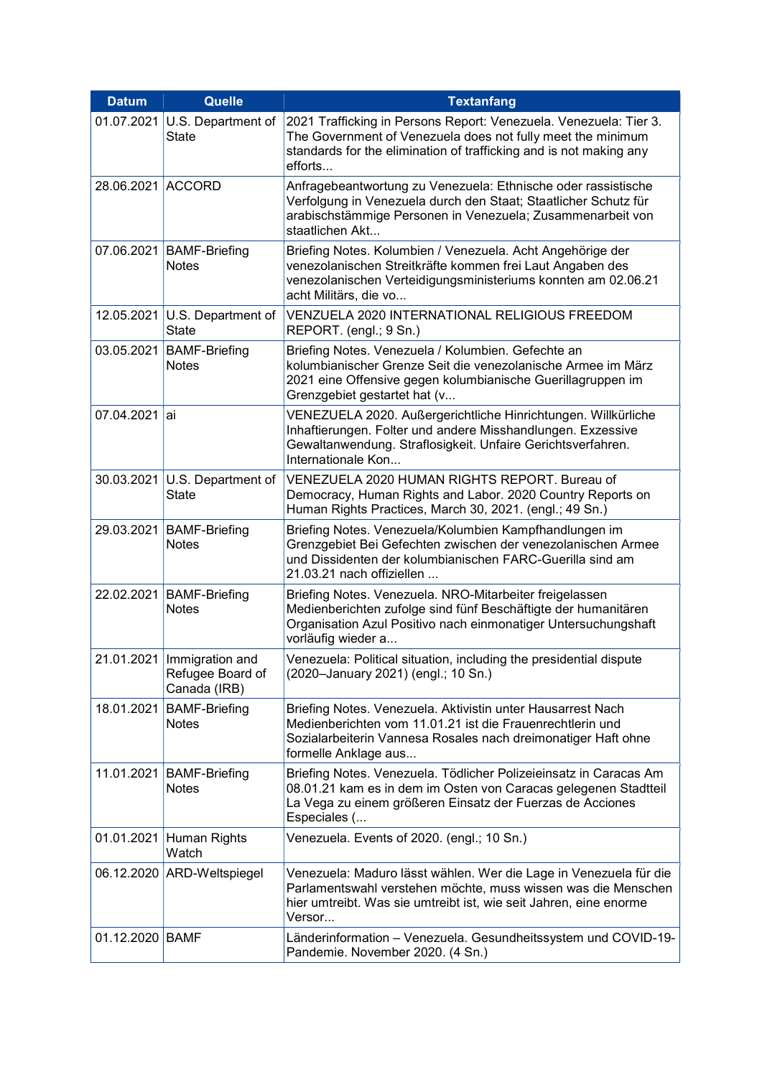| <b>Datum</b>      | <b>Quelle</b>                                                  | <b>Textanfang</b>                                                                                                                                                                                                 |
|-------------------|----------------------------------------------------------------|-------------------------------------------------------------------------------------------------------------------------------------------------------------------------------------------------------------------|
| 01.07.2021        | U.S. Department of<br><b>State</b>                             | 2021 Trafficking in Persons Report: Venezuela. Venezuela: Tier 3.<br>The Government of Venezuela does not fully meet the minimum<br>standards for the elimination of trafficking and is not making any<br>efforts |
| 28.06.2021 ACCORD |                                                                | Anfragebeantwortung zu Venezuela: Ethnische oder rassistische<br>Verfolgung in Venezuela durch den Staat; Staatlicher Schutz für<br>arabischstämmige Personen in Venezuela; Zusammenarbeit von<br>staatlichen Akt |
|                   | 07.06.2021   BAMF-Briefing<br><b>Notes</b>                     | Briefing Notes. Kolumbien / Venezuela. Acht Angehörige der<br>venezolanischen Streitkräfte kommen frei Laut Angaben des<br>venezolanischen Verteidigungsministeriums konnten am 02.06.21<br>acht Militärs, die vo |
|                   | 12.05.2021   U.S. Department of<br><b>State</b>                | VENZUELA 2020 INTERNATIONAL RELIGIOUS FREEDOM<br>REPORT. (engl.; 9 Sn.)                                                                                                                                           |
| 03.05.2021        | <b>BAMF-Briefing</b><br><b>Notes</b>                           | Briefing Notes. Venezuela / Kolumbien. Gefechte an<br>kolumbianischer Grenze Seit die venezolanische Armee im März<br>2021 eine Offensive gegen kolumbianische Guerillagruppen im<br>Grenzgebiet gestartet hat (v |
| 07.04.2021 ai     |                                                                | VENEZUELA 2020. Außergerichtliche Hinrichtungen. Willkürliche<br>Inhaftierungen. Folter und andere Misshandlungen. Exzessive<br>Gewaltanwendung. Straflosigkeit. Unfaire Gerichtsverfahren.<br>Internationale Kon |
|                   | 30.03.2021   U.S. Department of<br><b>State</b>                | VENEZUELA 2020 HUMAN RIGHTS REPORT. Bureau of<br>Democracy, Human Rights and Labor. 2020 Country Reports on<br>Human Rights Practices, March 30, 2021. (engl.; 49 Sn.)                                            |
| 29.03.2021        | <b>BAMF-Briefing</b><br><b>Notes</b>                           | Briefing Notes. Venezuela/Kolumbien Kampfhandlungen im<br>Grenzgebiet Bei Gefechten zwischen der venezolanischen Armee<br>und Dissidenten der kolumbianischen FARC-Guerilla sind am<br>21.03.21 nach offiziellen  |
|                   | 22.02.2021 BAMF-Briefing<br><b>Notes</b>                       | Briefing Notes. Venezuela. NRO-Mitarbeiter freigelassen<br>Medienberichten zufolge sind fünf Beschäftigte der humanitären<br>Organisation Azul Positivo nach einmonatiger Untersuchungshaft<br>vorläufig wieder a |
|                   | 21.01.2021 Immigration and<br>Refugee Board of<br>Canada (IRB) | Venezuela: Political situation, including the presidential dispute<br>(2020-January 2021) (engl.; 10 Sn.)                                                                                                         |
| 18.01.2021        | <b>BAMF-Briefing</b><br><b>Notes</b>                           | Briefing Notes. Venezuela. Aktivistin unter Hausarrest Nach<br>Medienberichten vom 11.01.21 ist die Frauenrechtlerin und<br>Sozialarbeiterin Vannesa Rosales nach dreimonatiger Haft ohne<br>formelle Anklage aus |
| 11.01.2021        | <b>BAMF-Briefing</b><br><b>Notes</b>                           | Briefing Notes. Venezuela. Tödlicher Polizeieinsatz in Caracas Am<br>08.01.21 kam es in dem im Osten von Caracas gelegenen Stadtteil<br>La Vega zu einem größeren Einsatz der Fuerzas de Acciones<br>Especiales ( |
| 01.01.2021        | Human Rights<br>Watch                                          | Venezuela. Events of 2020. (engl.; 10 Sn.)                                                                                                                                                                        |
|                   | 06.12.2020 ARD-Weltspiegel                                     | Venezuela: Maduro lässt wählen. Wer die Lage in Venezuela für die<br>Parlamentswahl verstehen möchte, muss wissen was die Menschen<br>hier umtreibt. Was sie umtreibt ist, wie seit Jahren, eine enorme<br>Versor |
| 01.12.2020 BAMF   |                                                                | Länderinformation - Venezuela. Gesundheitssystem und COVID-19-<br>Pandemie. November 2020. (4 Sn.)                                                                                                                |